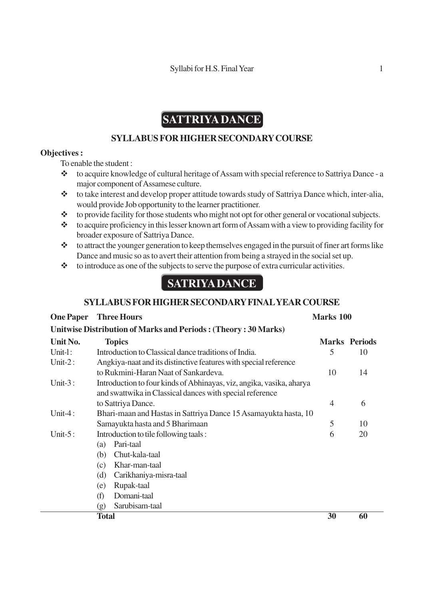# **SATTRIYA DANCE**

## **SYLLABUS FOR HIGHER SECONDARY COURSE**

### **Objectives :**

To enable the student :

- to acquire knowledge of cultural heritage of Assam with special reference to Sattriya Dance a major component of Assamese culture.
- \* to take interest and develop proper attitude towards study of Sattriya Dance which, inter-alia, would provide Job opportunity to the learner practitioner.
- $\triangle$  to provide facility for those students who might not opt for other general or vocational subjects.
- $\triangleleft$  to acquire proficiency in this lesser known art form of Assam with a view to providing facility for broader exposure of Sattriya Dance.
- $\triangle$  to attract the younger generation to keep themselves engaged in the pursuit of finer art forms like Dance and music so as to avert their attention from being a strayed in the social set up.
- $\bullet$  to introduce as one of the subjects to serve the purpose of extra curricular activities.

## **SATRIYA DANCE**

### **SYLLABUS FOR HIGHER SECONDARY FINAL YEAR COURSE**

| <b>One Paper</b>                                               | <b>Three Hours</b>                                                   | <b>Marks 100</b> |                      |  |  |  |  |
|----------------------------------------------------------------|----------------------------------------------------------------------|------------------|----------------------|--|--|--|--|
| Unitwise Distribution of Marks and Periods: (Theory: 30 Marks) |                                                                      |                  |                      |  |  |  |  |
| Unit No.                                                       | <b>Topics</b>                                                        |                  | <b>Marks Periods</b> |  |  |  |  |
| Unit-1:                                                        | Introduction to Classical dance traditions of India.                 | 5                | 10                   |  |  |  |  |
| Unit- $2:$                                                     | Angkiya-naat and its distinctive features with special reference     |                  |                      |  |  |  |  |
|                                                                | to Rukmini-Haran Naat of Sankardeva.                                 | 10               | 14                   |  |  |  |  |
| Unit- $3:$                                                     | Introduction to four kinds of Abhinayas, viz, angika, vasika, aharya |                  |                      |  |  |  |  |
|                                                                | and swattwika in Classical dances with special reference             |                  |                      |  |  |  |  |
|                                                                | to Sattriya Dance.                                                   | $\overline{4}$   | 6                    |  |  |  |  |
| Unit-4:                                                        | Bhari-maan and Hastas in Sattriya Dance 15 Asamayukta hasta, 10      |                  |                      |  |  |  |  |
|                                                                | Samayukta hasta and 5 Bharimaan                                      | 5                | 10                   |  |  |  |  |
| Unit- $5:$                                                     | Introduction to tile following taals:                                | 6                | 20                   |  |  |  |  |
|                                                                | Pari-taal<br>(a)                                                     |                  |                      |  |  |  |  |
|                                                                | Chut-kala-taal<br>(b)                                                |                  |                      |  |  |  |  |
|                                                                | Khar-man-taal<br>(c)                                                 |                  |                      |  |  |  |  |
|                                                                | (d)<br>Carikhaniya-misra-taal                                        |                  |                      |  |  |  |  |
|                                                                | Rupak-taal<br>(e)                                                    |                  |                      |  |  |  |  |
|                                                                | Domani-taal<br>(f)                                                   |                  |                      |  |  |  |  |
|                                                                | Sarubisam-taal<br>(g)                                                |                  |                      |  |  |  |  |
|                                                                | <b>Total</b>                                                         | 30               | 60                   |  |  |  |  |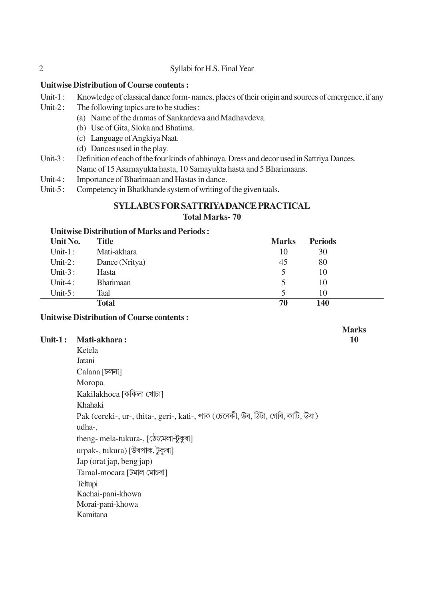#### 2 Syllabi for H.S. Final Year

#### **Unitwise Distribution of Course contents :**

- Unit-1 : Knowledge of classical dance form- names, places of their origin and sources of emergence, if any
- Unit-2 : The following topics are to be studies :
	- (a) Name of the dramas of Sankardeva and Madhavdeva.
	- (b) Use of Gita, Sloka and Bhatima.
	- (c) Language of Angkiya Naat.
	- (d) Dances used in the play.
- Unit-3: Definition of each of the four kinds of abhinaya. Dress and decor used in Sattriya Dances. Name of 15 Asamayukta hasta, 10 Samayukta hasta and 5 Bharimaans.
- Unit-4 : Importance of Bharimaan and Hastas in dance.
- Unit-5: Competency in Bhatkhande system of writing of the given taals.

#### **SYLLABUS FOR SATTRIYA DANCE PRACTICAL Total Marks- 70**

#### **Unitwise Distribution of Marks and Periods :**

| Unit No.    | <b>Title</b>     | <b>Marks</b> | <b>Periods</b> |  |
|-------------|------------------|--------------|----------------|--|
| Unit- $1$ : | Mati-akhara      | 10           | 30             |  |
| Unit- $2$ : | Dance (Nritya)   | 45           | 80             |  |
| Unit- $3:$  | Hasta            |              | 10             |  |
| Unit-4:     | <b>Bharimaan</b> | ╮            | 10             |  |
| Unit- $5:$  | Taal             | ↖            | 10             |  |
|             | <b>Total</b>     | 70           | 140            |  |

**Marks**

#### **Unitwise Distribution of Course contents :**

#### **Unit-1 : Mati-akhara : 10**

Ketela Jatani Calana [চলনা] Moropa Kakilakhoca [ককিলা খোচা] Khahaki Pak (cereki-, ur-, thita-, geri-, kati-, পাক (চেৰেকী, উৰ, ঠিটা, গেৰি, কাটি, উধা) udha-, theng- mela-tukura-, [ঠেংমেলা-টুকুৰা] urpak-, tukura) [উৰপাক, টুকুৰা] Jap (orat jap, beng jap) Tamal-mocara [টমাল মোচৰা] **Teltupi** Kachai-pani-khowa Morai-pani-khowa Kamitana